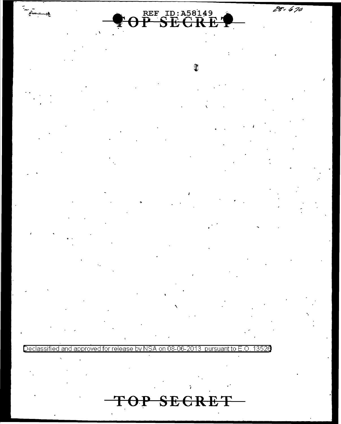28. 670



 $\hat{x}$ 

 $f = 1$ 

Declassified and approved for release by NSA on 08-06-2013 pursuant to E.O.

 $\mathbf{T}_1$ 

13526

OP SECRET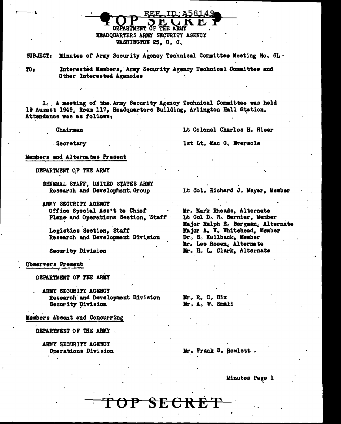HEADQUARTERS ARMY SECURITY AGENCY WASHINGTON 25, D. C.

**DEPARTMENT OF** 

Minutes of Army Security Agency Technical Committee Meeting No. 6L. SUBJECT:

**TO 8** 

Interested Members, Army Security Agency Technical Committee and Other Interested Agencies

**THE ARMY** 

1. A meeting of the Army Security Agency Technical Committee was held 19 August 1949, Room 117, Headquarters Building, Arlington Hall Station. Attendance was as follows:

**Chairman** 

Lt Colonel Charles H. Hiser

**Secretary** 

lst Lt. Mac C. Eversole

Members and Alternates Present

DEPARTMENT OF THE ARMY

GENERAL STAFF, UNITED STATES ARMY Research and Development. Group

ARMY SECURITY AGENCY Office Special Ass't to Chief Plans and Operations Section, Staff

Logistics Section, Staff Research and Development Division

Security Division

Observers Present

DEPARTMENT OF THE ARMY

ARMY SECURITY AGENCY Research and Development Division Security Division

Members Absent and Concurring

DEPARTMENT OF THE ARMY.

ARMY SECURITY AGENCY Operations Division Lt Col. Richard J. Meyer, Member

Mr. Mark Rhoads, Alternate Lt Col D. W. Bernier, Member Major Ralph E. Bergman, Alternate Major A. V. Whitehead, Member Dr. S. Kullback, Member Mr. Leo Rosen, Alternate Mr. H. L. Clark, Alternate

Mr. R. C. Hix Mr. A. W. Small

P SECRET

Mr. Frank B. Rowlett.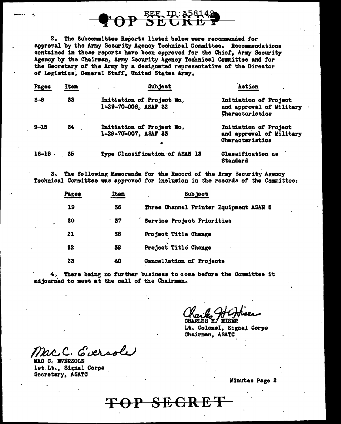# OP SEE ID: A5814

2. The Subcommittee Reports listed below were recommended for approval by the Army Security Agency Technical Committee. Recommendations contained in these reports have been approved for the Chief, Army Security Agency by the Chairman, Army Security Agency Technical Committee and for the Secretary of the Army by a designated representative of the Director of Legistics, General Staff, United States Army.

| Pages     | Item | <b>Subject</b>                                                 | Action<br>٠                                                          |
|-----------|------|----------------------------------------------------------------|----------------------------------------------------------------------|
| $3 - 8$   | 33   | Initiation of Project No.<br>1-29-70-006, ASAF 32              | Initiation of Project<br>and approval of Military<br>Characteristics |
| $9 - 15$  | 34   | Initiation of Project No.<br>1-29-70-007, ASAF 33<br>$\bullet$ | Initiation of Project<br>and approval of Military<br>Characteristics |
| $16 - 18$ | 35   | Type Classification of ASAN 13                                 | Classification as<br>Standard                                        |

3. The following Memoranda for the Record of the Army Security Agency Technical Committee was approved for inclusion in the records of the Committee:

| Pages | Item | <b>Subject</b>                         |  |
|-------|------|----------------------------------------|--|
| 19    | 36   | Three Channel Printer Equipment ASAN 8 |  |
| 20    | 57   | Service Project Priorities             |  |
| 21    | 38   | Project Title Change                   |  |
| 22    | 39   | Project Title Change                   |  |
| 23    | 40   | Cancellation of Projects               |  |

4. There being no further business to come before the Committee it adjourned to meet at the call of the Chairman.

Lt. Colonel, Signal Corps Chairman, ASATC

C. Eversole

MAC C. EVERSOLE lst Lt., Signal Corps Secretary, ASATC

 $-{\bf SECRE}$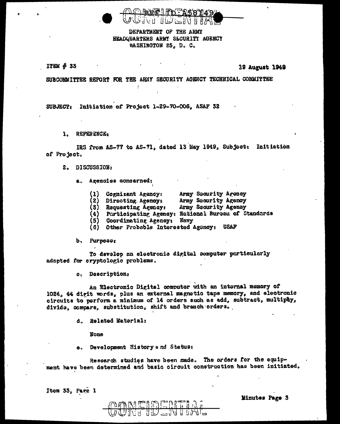

DEPARTMENT OF THE ARMY HEADQUARTERS ARMY SECURITY AGENCY WASHINGTON 25, D. C.

ITEM # 33

19 August 1949

SUBCOMMITTEE REPORT FOR THE ARMY SECURITY AGENCY TECHNICAL COMMITTEE

SUBJECT: Initiation of Project 1-29-70-006, ASAF 32

1. REFERENCE.

IRS from AS-77 to AS-71, dated 13 May 1949, Subject: Initiation of Project.

2. DISCUSSION:

a. Agencies concerned:

- (1) Cognizant Agency: Army Socurity Agency
- (2) Directime Agencys Army Security Agency
- (3) Requesting Agency: Army Security Agency
- (4) Participating Agency: National Bureau of Standards
- (5) Coordinating Agency: Navy
- Other Probable Interested Agency: USAF  $(6)$

b, Purposes

To develop an electronic digital computer particularly adapted for cryptologic problems.

o. Descriptions

An Electronic Digital computer with an internal memory of 1024, 44 digit words, plus an external magnetic tape memory, and electronic circuits to perform a minimum of 14 orders such as add, subtract, multipay, divide, compare, substitution, shift and branch orders.

d. Related Material:

**None** 

e. Development History and Status:

Research studies have been made. The orders for the equipment have been determined and basic circuit construction has been initiated.

Item 33, Page 1

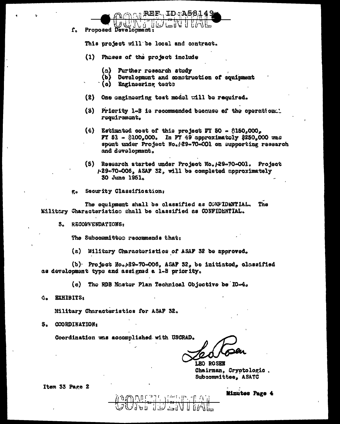${\bf r}_{\rm c}$ Proposed Development:

This project will be local and contract.

(1) Phases of the project include

Aath

- $(a)$ Further research study
- (b) Development and construction of squipment
- (c) Engineering tests
- (2) One eagineering test model will be required.

REF. ID.A5

- (3) Priority l-B is recommended because of the operation: requirement,
- (4) Estimated cost of this project FT 50  $\$150,000,$ **FY** 51 - \$100,000. In FY 49 approximately \$250,000 was spent under Project No./29-70-001 on supporting research and development.
- (5) Research started under Project No. 129-70-001. Project /-29-70-006, ASAF 32, will be completed approximately 30 June 1951.
- Security Classification:  $\mathbf{g}_\bullet$

The equipment shall be classified as CONFIDENTIAL. The Military Characteristico shall be classified as CONFIDENTIAL.

3. RECONVENDATIONS:

The Subcommitted recommends that:

(a) Military Characteristics of ASAF 32 be approved.

(b) Project No. A9-70-006, ASAF 32, be initiated, classified as development type and assigned a 1-B priority.

(c) The RDB Master Plan Technical Objective be IO-4.

 $\frac{\partial \text{SNR}}{\partial \text{N}} = \frac{\sum_{i=1}^{n} \text{SNR}}{\sum_{i=1}^{n} \text{SNR}}$ 

4. EXHIBITS:

Military Characteristics for ASAF 32.

5. COORDINATION:

Coordination was accomplished with USCRAD.

LEO ROSEN Chairman, Cryptologic. Subcommittee, ASATC

Item 33 Page 2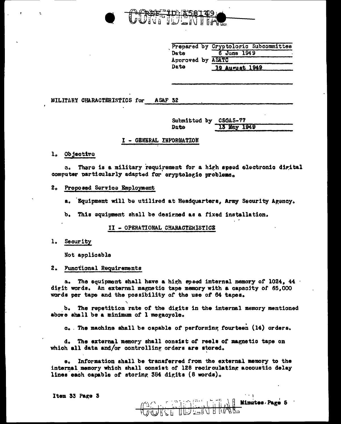

|                   | Prepared by Cryptologic Subcommittee |
|-------------------|--------------------------------------|
| Date              | 6 June 1949                          |
| Aporoved by ASATC |                                      |
| Date              | <u>19 August 1949</u>                |

**MILITARY CHARACTERISTICS for** ASAF 32

> Submitted by CSGAS-77 Date 13 May 1949

#### I - GENERAL INFORMATION

#### l. Objective

There is a military requirement for a high speed electronic digital  $\mathbf{a}$ computer particularly adapted for cryptologic problems.

#### 2. Proposed Service Employment

a. Bouipment will be utilized at Headquarters. Army Security Agency.

b. This equipment shall be designed as a fixed installation.

#### II - OPERATIONAL CHARACTERISTICS

#### 1. Security

Not applicable

#### 2. Functional Requirements

a. The equipment shall have a high speed internal memory of 1024. 44 digit words. An external magnetic tape memory with a capacity of 65.000 words per tape and the possibility of the use of 64 tapes.

b. The repetition rate of the digits in the internal memory mentioned above shall be a minimum of I megacycle.

c. The machine shall be capable of performing fourteen (14) orders.

d. The external memory shall consist of reels of magnetic tape on which all data and/or controlling orders are stored.

Information shall be transferred from the external memory to the 8. internal memory which shall consist of 128 recirculating accoustic delay lines each capable of storing 384 digits (8 words).

 $\setminus$  **Minutes** Page 5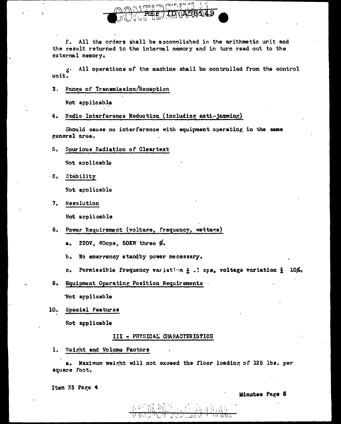

f. All the orders shall be accomplished in the arithmetic unit and the result returned to the internal memory and in turn read out to the external memory.

All operations of the machine shall be controlled from the control  $\mathbf{s}$ . unit.

3. Range of Transmission/Reception

Not applicable

4. Radio Interference Reduction (including anti-jamming)

Should cause no interference with equipment operating in the same general area,

5. Spurious Radiation of Cleartext

Not applicable

 $-6.$ Stability

Not applicable

7. Resolution

Not applicable

8. Power Requirement (voltage, frequency, wettage)

a. 220V, 60cps, 50KW three Ø.

- b. No emergency standby power necessary.
- c. Permissible frequency variation & .! cps, voltage variation & 10%.
- 9. Equipment Operating Position Requirements

'Not applicable

10. Special Features

Not applicable

#### III - PHYSICAL CHARACTERISTICS

1. Weight and Volume Factors

a. Maximum weight will not exceed the floor loading of 125 lbs. per square foot.

Item 33 Page 4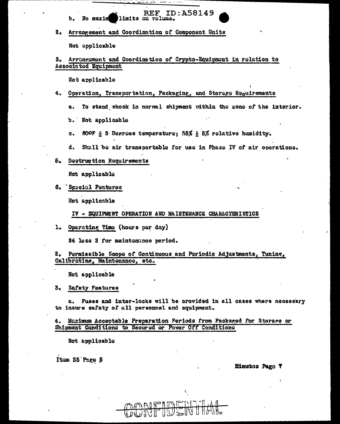**REF ID: A58149** Ъ. No maxim limits on volume.

#### $2<sub>o</sub>$ Arrangement and Coordination of Component Units

Not applicable

#### Arrangement and Coordination of Crypto-Equipment in relation to 3. Associated Equipment

 $\dddot{\phantom{0}}$ 

Not applicable

# 4. Operation, Transportation, Packaging, and Storage Requirements

To stand shock in normal shipment within the 20ne of the interior. 8.

b. Not applicable

- c. 80° & 5 Degrees temperature; 55% & 5% relative humidity.
- Shall be air transportable for use in Phase IV of air operations. d.
- Destruction Requirements 5.

Not applicable

6. Special Features

Not applicable

IV - EQUIPMENT OPERATION AND MAINTENANCE CHARACTERISTICS

Operating Time (hours per day)  $\mathbf{a}$ 

24 less 2 for maintenance period.

Permissible Scope of Continuous and Periodic Adjustments, Tuning, 2. Calibrating, Maintenance, etc.

Not applicable

з. Safety Features

a. Fuses and inter-locks will be provided in all cases where necessary to insure safety of all personnel and equipment.

Maximum Acceptable Preparation Periods from Packaged for Storage or 4. Shipment Conditions to Secured or Power Off Conditions

FIDER

Not applicable

Item 33 Page 5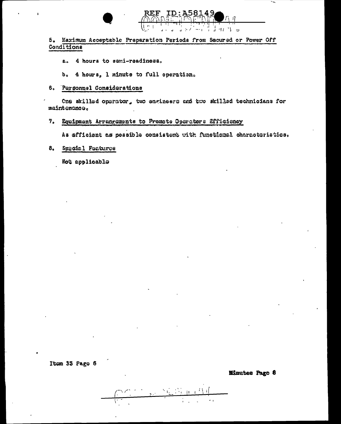

5. Maximum Acceptable Preparation Periods from Secured or Power Off Conditions

4 hours to semi-readiness. கே

b. 4 hours, 1 minute to full operation.

6. Personnel Considerations

One skilled operator, two engineers and two skilled technicians for maintenance.

#### 7. Equipment Arrangements to Promote Operators Efficiency

As efficient as possible consistent with functional characteristics.

Sægsia lægstures  $8<sub>a</sub>$ 

Not applicable

Item 33 Page 6

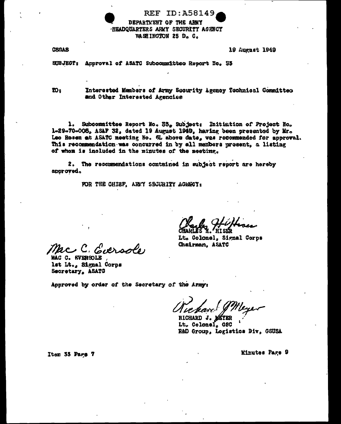**REF ID: A58149** DEPARTMENT OF THE ARMY **HEADQUARTERS ARMY SECURITY AGENCY** WASHINGTON 25 D. C.

**CSGAS** 

19 August 1949

SUBJECT: Approval of ASATC Subcommittee Report No. 33

 $\mathbf{w}_3$ 

Interested Members of Army Security Agency Technical Committee and Other Interested Agencies

1. Subcommittee Report No. 33, Subject: Initiation of Project No. 1-29-70-006, ASAF 32, dated 19 August 1949, having been presented by Mr. Leo Rosen at ASATC meeting No. 5L above date, was recommended for approval. This recommendation was concurred in by all members present, a listing of whom is included in the minutes of the meeting.

2. The recommendations contained in subject report are hereby approved.

FOR THE CHIEF, ARMY SECURITY AGENCY:

2. Eversole

MAC C. EVERSOLE lst Lt., Signal Corps Secretary, ASATC

Lt. Colonel, Signal Corps Chairman, ASATC

Approved by order of the Secretary of the Army:

RICHARD J. MAY

Lt. Colonel. GSC R&D Group, Logistics Div, GSUSA

Item 33 Page 7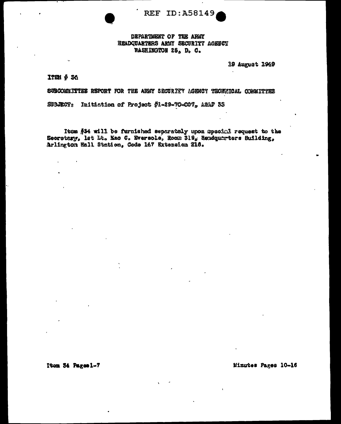**REF ID:A58149** 

#### DEPARTMENT OF THE ARMY HEADQUARTERS ARMY SECURITY AGENCY WASHINGTON 25, D. C.

**19 August 1949** 

ITEM # 36

SUBCOMMITTEE REPORT FOR THE ARMY SECURITY AGENCY TECHNICAL COMMITTEE

SUBJECT: Initiation of Project #1-29-70-007, ASAP 33

Item #34 will be furnished separately upon special request to the Secretary, let Lt. Mac C. Eversole, Room 319, Readquarters Building. Arlington Hall Station, Code 147 Extension 216.

Item 54 Pages 1-7

Minutes Pages 10-16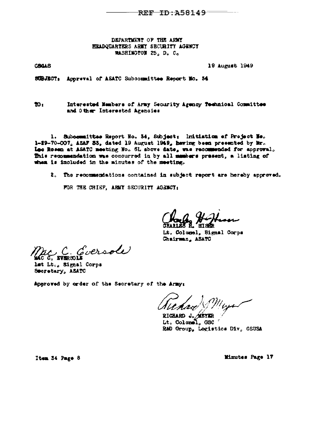REF ID: 458149

DEPARTMENT OF THE ARMY HEADQUARTERS ARMY SECURITY AGENCY WASHINGTON 25. D. C.

CBGAS

19 August 1949

SUBJECT: Appreval of ASATC Subcommittee Report No. 34

 $\mathbf{D}$ Interested Members of Army Security Agency Technical Committee and Other Interested Agencies

1. Subcommittee Report No. 34, Subject: Initiation of Project No. 1-29-70-007, ASAF 55, dated 19 August 1949, having been presented by Mr. Lee Rosen at ASATC meeting Ho. 6L above date, was recommended for approval. This recommendation was concurred in by all members present, a listing of when is included in the minutes of the meeting.

2. The recommendations contained in subject report are hereby approved.

FOR THE CHIEF, ARMY SECURITY AGENCY:

Lt. Colomel, Signal Corps Chairman, ASATO

Goersde C C NROLL

lat Lt., Signal Corps Secretary, ASATC

Approved by order of the Secretary of the Army:

RICHARD J. MEYER Lt. Colonel. GSC R&D Group, Logistics Div, GSUSA

Item 54 Page 8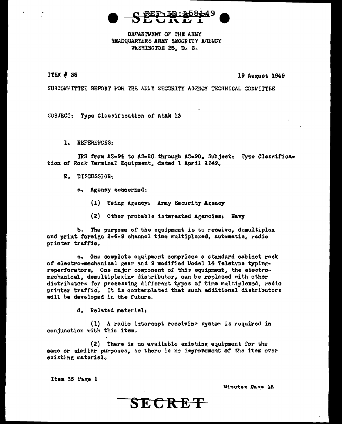

DEPARTMENT OF THE AREY HEADQUARTERS ARMY SECURITY AGENCY WASHINGTON 25, D. C.

#### ITEM # 35

#### 19 August 1949

SUBCONNITTEE REPORT FOR THE ARMY SECURITY AGENCY TECHNICAL COMMITTEE

SUBJECT: Type Classification of ASAN 13

1. REFERENCES:

IRS from AS=94 to AS=20 through AS=90. Subject: Type Classification of Rock Terminal Equipment, dated 1 April 1949.

- 2. DISCUSSION:
	- a. Agency concerned:
		- (1) Using Agency: Army Security Agency
		- (2) Other probable interested Agencies; Navy

b. The purpose of the equipment is to receive, demultiplex and print foreign 2-6-9 channel time multiplexed, automatic, radio printer traffic.

c. One complete equipment comprises a standard cabinet rack of electro=mechanical gear and 9 modified Model 14 Teletype typingreperforators. One major component of this equipment, the electromechanical, demultiplexing distributor, can be replaced with other distributors for processing different types of time multiplexed, radio printer traffic. It is contemplated that such additional distributors will be developed in the future.

d. Related materiel:

 $(1)$  A radio intercept receiving system is required in conjunction with this item.

(2) There is no available existing equipment for the same or similar purposes, so there is no improvement of the item over existing materiel.

Item 35 Page 1

*Winntes Page 18* 

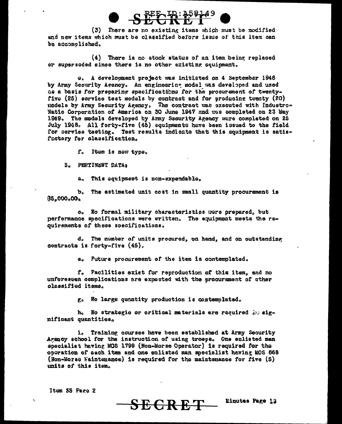

(3) There are no existing items which must be modified and new items which must be classified before issue of this item can be accomplished.

(4) There is no stock status of an item being replaced or superseded since there is no other existing equipment.

e. A develocment project was initiated on 4 September 1946 by Army Security Agency. An engineering model was developed and used as a basis for preparing specifications for the procurement of twentyfive (25) service test models by contract and for producing twenty (20) nodels by Army Security Agency. The contract was executed with Industro-Matic Corporation of America on 30 June 1947 and was completed on 23 May 1949. The models developed by Army Security Agency were completed on 25 July 1948. All forty-five (45) equipments have been issued to the field for service testing. Test results indicate that this equipment is satisfactory for classification.

f. Item is new type.

3. PERTINENT DATA:

a. This equipment is non-expendable.

b. The estimated unit cost in small quantity procurement is  $85,000,00,$ 

o. No formal military characteristics more prepared, but performance specifications were written. The equipment meets the requirements of these specifications.

d. The number of units procured, on hand, and on outstanding contracts is forty-five  $(45)$ .

e. Future procurement of the item is contemplated.

f. Facilities exist for reproduction of this item, and no unforeseen complications are expected with the procurement of other classified items.

g. No large quantity production is contemplated.

h. No strategic or critical materials are required in significant quantities.

i. Training courses have been established at Army Security Agency school for the instruction of using troess. One enlisted man specialist having MOS 1799 (Non-Morse Operator) is required for the operation of each item and one enlisted man specialist having MOS 868 (Non-Morse Maintenance) is required for the maintenance for five (5) units of this item.

<del>SECRET</del>

Item 35 Page 2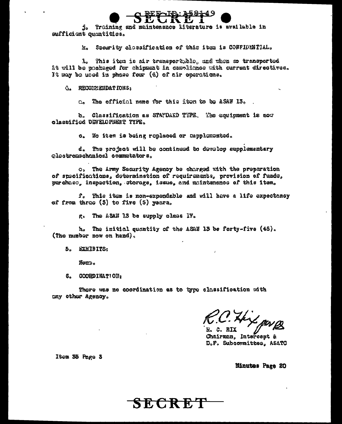j. Training and maintenance literature is available in sufficient quantities.

> Security classification of this item is CONFIDENTIAL.  $\mathcal{R}_{\alpha}$

1. This item is air transportable, and when so transported it will be pockaged for chipment in compliance with current directives. It may be used in phase four (4) of air operations.

**G. RECORMENDATIONS:** 

a. The official name for this item to be ASAW 13.

b. Classification as STANDARD TTPE. The equipment is now classified DEVELOPMENT TYPE.

c. No item is being replaced or supplemented.

d. The project will be continued to develop supplementary clestromechanical commutators.

o, The Army Security Agency be charged with the preparation of specifications, determination of requirements, provision of funds, purchaso, inspection, storage, issue, and maintemance of this item.

f. This itsm is non-expendable and will have a life expectancy of from three (5) to five (5) years.

g. The ASAN 13 be supply class IV.

 $h_o$ The initial quantity of the ASAN 13 be forty-five (45). (The number now on hand).

5. EXHIBITS:

Nous.

6. COORDINATION:

There was no coordination as to type classification with any other Agency.

Hey pares

R. C. RIX Chairman, Intercept & D.F. Subcommittee, ASATC

Itom 35 Page 3

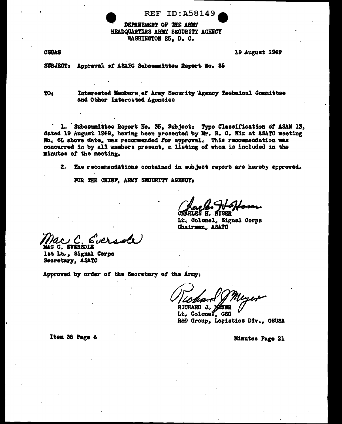## **REF ID: A58149**

DEPARTMENT OF THE ARMY HEADQUARTERS ARMY SECURITY AGENCY WASHINGTON 25, D. C.

**CSGAS** 

19 August 1949

SUBJECT: Appreval of ASATC Subsommittee Report No. 36

TO<sub>3</sub>

Interested Members of Army Security Agency Technical Committee and Other Interested Agencies

1. Subcommittee Report No. 35, Subject: Type Classification of ASAN 13, dated 19 August 1949, having been presented by Mr. R. C. Hix at ASATC meeting No. 6L above date, was recommended for approval. This recommendation was concurred in by all members present, a listing of whom is included in the minutes of the meeting.

2. The recommendations contained in subject report are hereby approved,

FOR THE CHISF, ARMY SECURITY AGENCY:

**CHARLES H.** 

Lt. Colonel, Signal Corps Chairman, ASATC

**MAC C. EVERSOLE** 

1st Lt., Signal Corps Secretary, ASATC

Approved by order of the Secretary of the Army:

RICHARD J.

Lt. Colonel. GSC R&D Group, Logistics Div., GSUSA

Minutes Page 21

Item 35 Page 4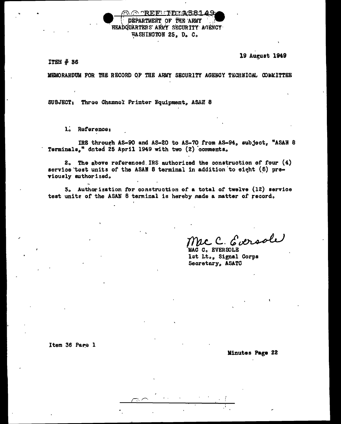@ "REFILIDEA581 49 DEPARTMENT OF THE ARMY HEADQUARTERS ARMY SECURITY AGENCY WASHINGTON 25, D. C.

19 August 1949

**ITEM # 36** 

MEMORANDUM FOR THE RECORD OF THE ARMY SECURITY AGENCY TECHNICAL COMMITTEE

SUBJECT: Three Channel Printer Equipment, ASAN 8

l. Reference:

IRS through AS-90 and AS-20 to AS-70 from AS-94, subject, "ASAN 8 Terminals," dated 25 April 1949 with two (2) comments.

 $2<sub>0</sub>$  The above referenced IRS authorized the construction of four  $(4)$ service test units of the ASAN 8 terminal in addition to eight (8) previously suthorized.

3. Authorization for construction of a total of twelve (12) service test units of the ASAN 8 terminal is hereby made a matter of record.

Mac C. Eversole

MAC C. EVERSOLE lst Lt., Signal Corps Secretary, ASATC

Item 36 Page 1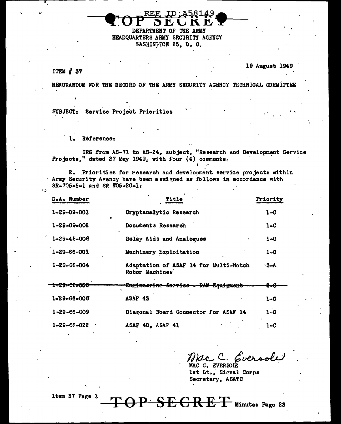**DEPARTMENT** ΩF. THE. HEADQUARTERS ARMY SECURITY AGENCY WASHINGTON 25, D. C.

 $IFEM#37$ 

 $\ddot{\circ}$ 

19 August 1949

MEMORANDUM FOR THE RECORD OF THE ARMY SECURITY AGENCY TECHNICAL COMMITTEE

SUBJECT: Service Project Priorities

> $1<sub>o</sub>$ Reference:

IRS from AS-71 to AS-24, subject, "Research and Development Service Projects," dated 27 May 1949, with four (4) comments.

2. Priorities for research and development service projects within Army Security Agency have been assigned as follows in accordance with  $SR = 705 = 5 = 1$  and SR  $Q = 20 = 1$ :

| D.A. Number             | Title                                                   | Priority |
|-------------------------|---------------------------------------------------------|----------|
| 1-29-09-001             | Cryptanalytic Research                                  | 1-C      |
| 1-29-09-002             | Documents Research                                      | 1–C      |
| 1-29-48-008             | Relay Aids and Analogues<br>$\epsilon$                  | 1–C      |
| 1-29-66-001             | Machinery Exploitation                                  | 1–C      |
| $1 - 29 - 66 - 004$     | Adaptation of ASAF 14 for Multi-Notch<br>Roter Machines | $3 - A$  |
| 1=29=66= <del>000</del> | <del>Engineering Service - RAM-Beaigment</del>          |          |
| $1 - 29 - 66 - 008$     | ASAF 43                                                 | $1-0$    |
| 1-29-66-009             | Diagonal Board Connector for ASAF 14                    | 1-C      |
| 1-29-66-022             | ASAF 40, ASAF 41                                        | $1 - C$  |

Mac C. Eversole

MAC C. EVERSOLE lst Lt., Signal Corps Secretary, ASATC

EGRET Minutes Page 23

Item 37 Page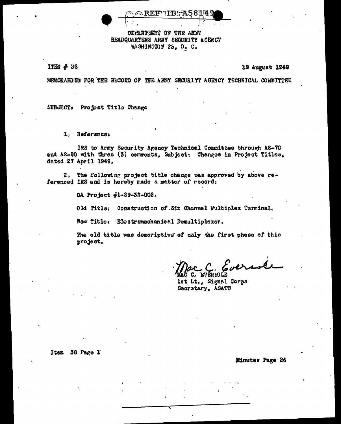**REFIID A5817** 

### DEPARTMENT OF THE ARMY HEADQUARTERS ARMY SECURITY ACENCY WASHINGTON 25, D. C.

ITEM # 38

#### 19 August 1949

MEMORARD UM FOR THE RECORD OF THE ARMY SECURITY AGENCY TECHNICAL COMMITTEE

SUBJECT: Project Title Change

 $\mathbf{1}_{\alpha}$ **Reference:** 

IRS to Army Security Agency Technical Committee through AS-70 and AS-20 with three (3) comments. Subject: Changes in Project Titles. dated 27 April 1949.

The following project title change was approved by above re- $2<sub>o</sub>$ ferenced IRS and is hereby made a matter of record:

DA Project #1-29-32-002.

Old Title: Construction of Six Channel Fultiplex Terminal.

New Title: Electromechanical Demultiplexer.

The old title was descriptive of only the first phase of this project.

C. Eversol

C. EVERSOLE lst Lt., Signal Corps Secretary, ASATC

Item 38 Page 1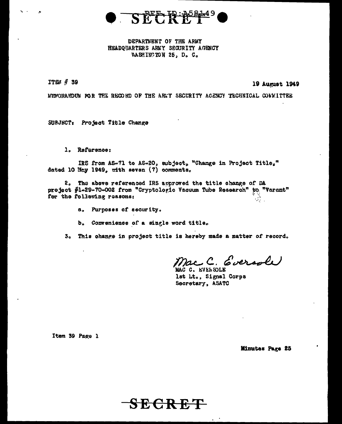

DEPARTMENT OF THE ARMY HEADQUARTERS ARMY SECURITY AGENCY WASHINGTON 25, D. C.

ITEM # 39

19 August 1949

MEMORANDUM FOR THE RECORD OF THE AREY SECURITY AGENCY TECHNICAL CONMITTEE

SUBJECT: Project Title Change

1. Reference:

IRS from AS-71 to AS-20, subject, "Change in Project Title," dated 10 May 1949, with seven (7) comments.

2. The above referenced IRS approved the title change of DA project #1-29-70-002 from "Cryptologic Vacuum Tube Research" to "Varant" for the following reasons:  $\mathcal{P}_{\mathcal{C}}$  .

a. Purposes of security.

b. Convenience of a single word title.

3. This change in project title is hereby made a matter of record.

Eversole

MAC C. EVERSOLE lst Lt., Signal Corps Secretary, ASATC

Item 39 Page 1